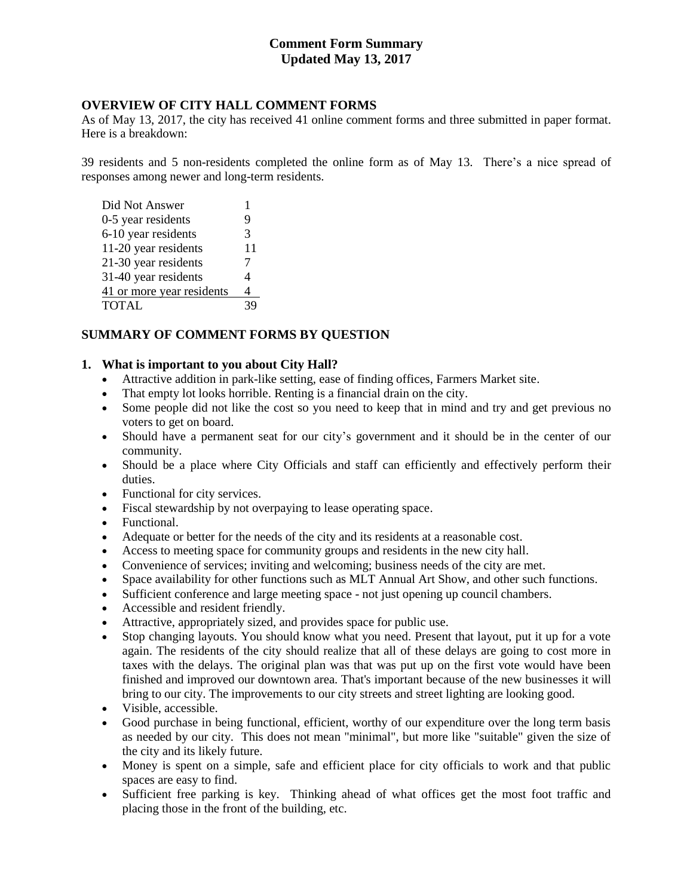## **Comment Form Summary Updated May 13, 2017**

#### **OVERVIEW OF CITY HALL COMMENT FORMS**

As of May 13, 2017, the city has received 41 online comment forms and three submitted in paper format. Here is a breakdown:

39 residents and 5 non-residents completed the online form as of May 13. There's a nice spread of responses among newer and long-term residents.

| Did Not Answer            | 1  |
|---------------------------|----|
| 0-5 year residents        | 9  |
| 6-10 year residents       | 3  |
| 11-20 year residents      | 11 |
| 21-30 year residents      | 7  |
| 31-40 year residents      | 4  |
| 41 or more year residents | 4  |
| <b>TOTAL</b>              | 39 |

## **SUMMARY OF COMMENT FORMS BY QUESTION**

#### **1. What is important to you about City Hall?**

- Attractive addition in park-like setting, ease of finding offices, Farmers Market site.
- That empty lot looks horrible. Renting is a financial drain on the city.
- Some people did not like the cost so you need to keep that in mind and try and get previous no voters to get on board.
- Should have a permanent seat for our city's government and it should be in the center of our community.
- Should be a place where City Officials and staff can efficiently and effectively perform their duties.
- Functional for city services.
- Fiscal stewardship by not overpaying to lease operating space.
- Functional.
- Adequate or better for the needs of the city and its residents at a reasonable cost.
- Access to meeting space for community groups and residents in the new city hall.
- Convenience of services; inviting and welcoming; business needs of the city are met.
- Space availability for other functions such as MLT Annual Art Show, and other such functions.
- Sufficient conference and large meeting space not just opening up council chambers.
- Accessible and resident friendly.
- Attractive, appropriately sized, and provides space for public use.
- Stop changing layouts. You should know what you need. Present that layout, put it up for a vote again. The residents of the city should realize that all of these delays are going to cost more in taxes with the delays. The original plan was that was put up on the first vote would have been finished and improved our downtown area. That's important because of the new businesses it will bring to our city. The improvements to our city streets and street lighting are looking good.
- Visible, accessible.
- Good purchase in being functional, efficient, worthy of our expenditure over the long term basis as needed by our city. This does not mean "minimal", but more like "suitable" given the size of the city and its likely future.
- Money is spent on a simple, safe and efficient place for city officials to work and that public spaces are easy to find.
- Sufficient free parking is key. Thinking ahead of what offices get the most foot traffic and placing those in the front of the building, etc.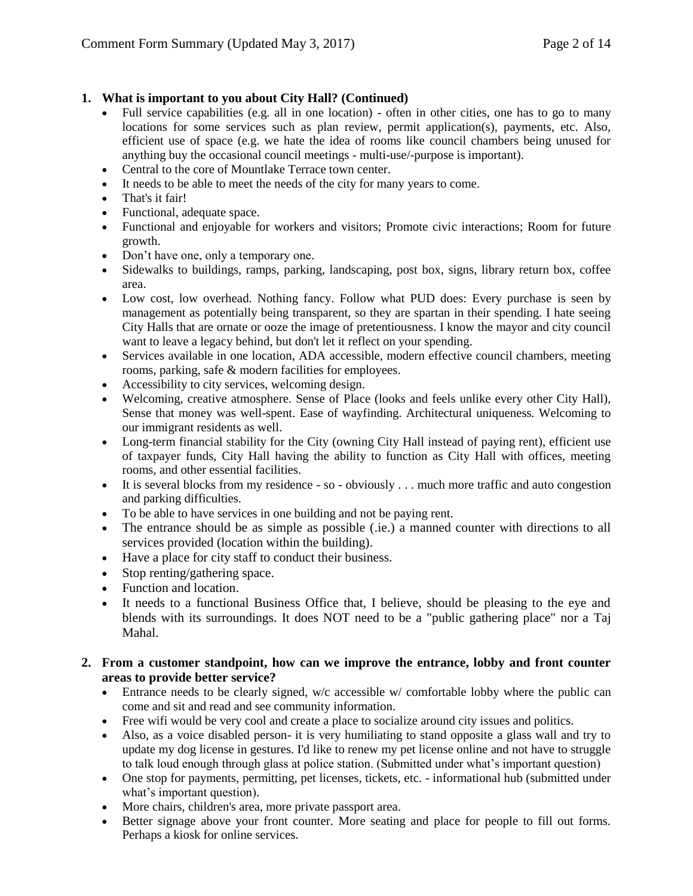## **1. What is important to you about City Hall? (Continued)**

- Full service capabilities (e.g. all in one location) often in other cities, one has to go to many locations for some services such as plan review, permit application(s), payments, etc. Also, efficient use of space (e.g. we hate the idea of rooms like council chambers being unused for anything buy the occasional council meetings - multi-use/-purpose is important).
- Central to the core of Mountlake Terrace town center.
- It needs to be able to meet the needs of the city for many years to come.
- That's it fair!
- Functional, adequate space.
- Functional and enjoyable for workers and visitors; Promote civic interactions; Room for future growth.
- Don't have one, only a temporary one.
- Sidewalks to buildings, ramps, parking, landscaping, post box, signs, library return box, coffee area.
- Low cost, low overhead. Nothing fancy. Follow what PUD does: Every purchase is seen by management as potentially being transparent, so they are spartan in their spending. I hate seeing City Halls that are ornate or ooze the image of pretentiousness. I know the mayor and city council want to leave a legacy behind, but don't let it reflect on your spending.
- Services available in one location, ADA accessible, modern effective council chambers, meeting rooms, parking, safe & modern facilities for employees.
- Accessibility to city services, welcoming design.
- Welcoming, creative atmosphere. Sense of Place (looks and feels unlike every other City Hall), Sense that money was well-spent. Ease of wayfinding. Architectural uniqueness. Welcoming to our immigrant residents as well.
- Long-term financial stability for the City (owning City Hall instead of paying rent), efficient use of taxpayer funds, City Hall having the ability to function as City Hall with offices, meeting rooms, and other essential facilities.
- It is several blocks from my residence so obviously . . . much more traffic and auto congestion and parking difficulties.
- To be able to have services in one building and not be paying rent.
- The entrance should be as simple as possible (.ie.) a manned counter with directions to all services provided (location within the building).
- Have a place for city staff to conduct their business.
- Stop renting/gathering space.
- Function and location.
- It needs to a functional Business Office that, I believe, should be pleasing to the eye and blends with its surroundings. It does NOT need to be a "public gathering place" nor a Taj Mahal.

## **2. From a customer standpoint, how can we improve the entrance, lobby and front counter areas to provide better service?**

- Entrance needs to be clearly signed, w/c accessible w/ comfortable lobby where the public can come and sit and read and see community information.
- Free wifi would be very cool and create a place to socialize around city issues and politics.
- Also, as a voice disabled person- it is very humiliating to stand opposite a glass wall and try to update my dog license in gestures. I'd like to renew my pet license online and not have to struggle to talk loud enough through glass at police station. (Submitted under what's important question)
- One stop for payments, permitting, pet licenses, tickets, etc. informational hub (submitted under what's important question).
- More chairs, children's area, more private passport area.
- Better signage above your front counter. More seating and place for people to fill out forms. Perhaps a kiosk for online services.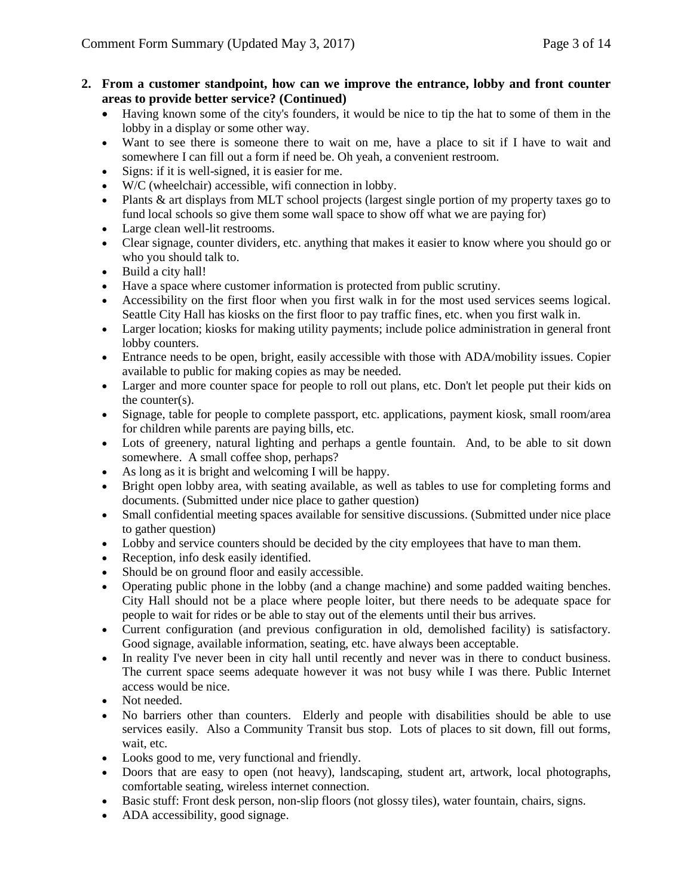- **2. From a customer standpoint, how can we improve the entrance, lobby and front counter areas to provide better service? (Continued)**
	- Having known some of the city's founders, it would be nice to tip the hat to some of them in the lobby in a display or some other way.
	- Want to see there is someone there to wait on me, have a place to sit if I have to wait and somewhere I can fill out a form if need be. Oh yeah, a convenient restroom.
	- Signs: if it is well-signed, it is easier for me.
	- W/C (wheelchair) accessible, wifi connection in lobby.
	- Plants & art displays from MLT school projects (largest single portion of my property taxes go to fund local schools so give them some wall space to show off what we are paying for)
	- Large clean well-lit restrooms.
	- Clear signage, counter dividers, etc. anything that makes it easier to know where you should go or who you should talk to.
	- Build a city hall!
	- Have a space where customer information is protected from public scrutiny.
	- Accessibility on the first floor when you first walk in for the most used services seems logical. Seattle City Hall has kiosks on the first floor to pay traffic fines, etc. when you first walk in.
	- Larger location; kiosks for making utility payments; include police administration in general front lobby counters.
	- Entrance needs to be open, bright, easily accessible with those with ADA/mobility issues. Copier available to public for making copies as may be needed.
	- Larger and more counter space for people to roll out plans, etc. Don't let people put their kids on the counter(s).
	- Signage, table for people to complete passport, etc. applications, payment kiosk, small room/area for children while parents are paying bills, etc.
	- Lots of greenery, natural lighting and perhaps a gentle fountain. And, to be able to sit down somewhere. A small coffee shop, perhaps?
	- As long as it is bright and welcoming I will be happy.
	- Bright open lobby area, with seating available, as well as tables to use for completing forms and documents. (Submitted under nice place to gather question)
	- Small confidential meeting spaces available for sensitive discussions. (Submitted under nice place to gather question)
	- Lobby and service counters should be decided by the city employees that have to man them.
	- Reception, info desk easily identified.
	- Should be on ground floor and easily accessible.
	- Operating public phone in the lobby (and a change machine) and some padded waiting benches. City Hall should not be a place where people loiter, but there needs to be adequate space for people to wait for rides or be able to stay out of the elements until their bus arrives.
	- Current configuration (and previous configuration in old, demolished facility) is satisfactory. Good signage, available information, seating, etc. have always been acceptable.
	- In reality I've never been in city hall until recently and never was in there to conduct business. The current space seems adequate however it was not busy while I was there. Public Internet access would be nice.
	- Not needed.
	- No barriers other than counters. Elderly and people with disabilities should be able to use services easily. Also a Community Transit bus stop. Lots of places to sit down, fill out forms, wait, etc.
	- Looks good to me, very functional and friendly.
	- Doors that are easy to open (not heavy), landscaping, student art, artwork, local photographs, comfortable seating, wireless internet connection.
	- Basic stuff: Front desk person, non-slip floors (not glossy tiles), water fountain, chairs, signs.
	- ADA accessibility, good signage.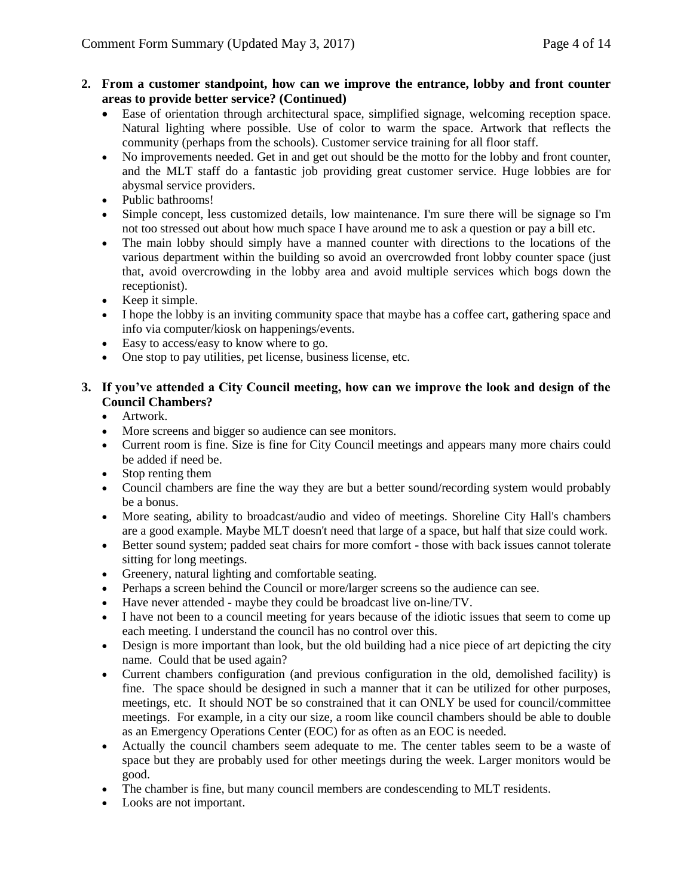## **2. From a customer standpoint, how can we improve the entrance, lobby and front counter areas to provide better service? (Continued)**

- Ease of orientation through architectural space, simplified signage, welcoming reception space. Natural lighting where possible. Use of color to warm the space. Artwork that reflects the community (perhaps from the schools). Customer service training for all floor staff.
- No improvements needed. Get in and get out should be the motto for the lobby and front counter, and the MLT staff do a fantastic job providing great customer service. Huge lobbies are for abysmal service providers.
- Public bathrooms!
- Simple concept, less customized details, low maintenance. I'm sure there will be signage so I'm not too stressed out about how much space I have around me to ask a question or pay a bill etc.
- The main lobby should simply have a manned counter with directions to the locations of the various department within the building so avoid an overcrowded front lobby counter space (just that, avoid overcrowding in the lobby area and avoid multiple services which bogs down the receptionist).
- Keep it simple.
- I hope the lobby is an inviting community space that maybe has a coffee cart, gathering space and info via computer/kiosk on happenings/events.
- Easy to access/easy to know where to go.
- One stop to pay utilities, pet license, business license, etc.

# **3. If you've attended a City Council meeting, how can we improve the look and design of the Council Chambers?**

- Artwork.
- More screens and bigger so audience can see monitors.
- Current room is fine. Size is fine for City Council meetings and appears many more chairs could be added if need be.
- Stop renting them
- Council chambers are fine the way they are but a better sound/recording system would probably be a bonus.
- More seating, ability to broadcast/audio and video of meetings. Shoreline City Hall's chambers are a good example. Maybe MLT doesn't need that large of a space, but half that size could work.
- Better sound system; padded seat chairs for more comfort those with back issues cannot tolerate sitting for long meetings.
- Greenery, natural lighting and comfortable seating.
- Perhaps a screen behind the Council or more/larger screens so the audience can see.
- Have never attended maybe they could be broadcast live on-line/TV.
- I have not been to a council meeting for years because of the idiotic issues that seem to come up each meeting. I understand the council has no control over this.
- Design is more important than look, but the old building had a nice piece of art depicting the city name. Could that be used again?
- Current chambers configuration (and previous configuration in the old, demolished facility) is fine. The space should be designed in such a manner that it can be utilized for other purposes, meetings, etc. It should NOT be so constrained that it can ONLY be used for council/committee meetings. For example, in a city our size, a room like council chambers should be able to double as an Emergency Operations Center (EOC) for as often as an EOC is needed.
- Actually the council chambers seem adequate to me. The center tables seem to be a waste of space but they are probably used for other meetings during the week. Larger monitors would be good.
- The chamber is fine, but many council members are condescending to MLT residents.
- Looks are not important.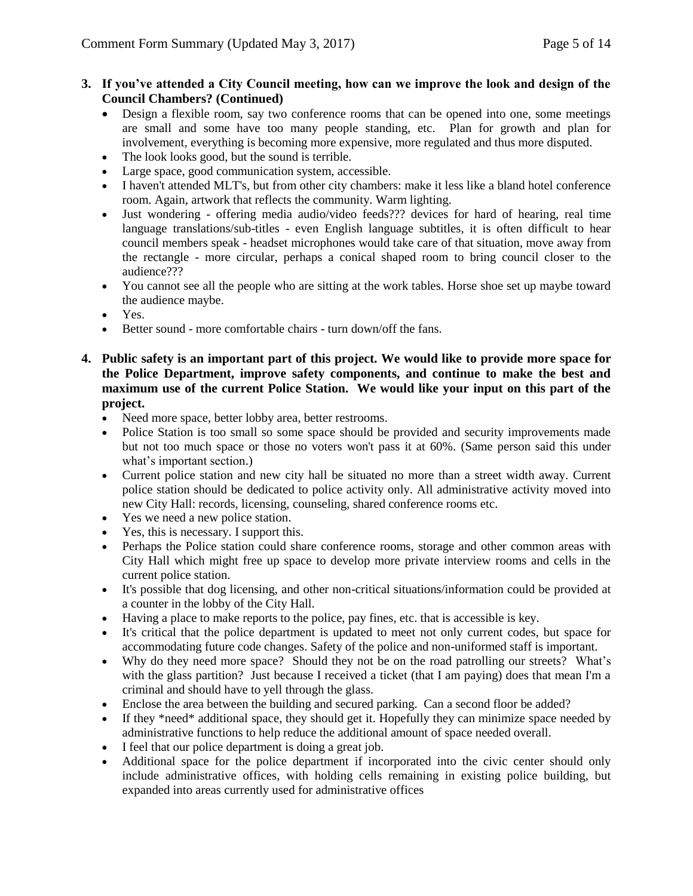## **3. If you've attended a City Council meeting, how can we improve the look and design of the Council Chambers? (Continued)**

- Design a flexible room, say two conference rooms that can be opened into one, some meetings are small and some have too many people standing, etc. Plan for growth and plan for involvement, everything is becoming more expensive, more regulated and thus more disputed.
- The look looks good, but the sound is terrible.
- Large space, good communication system, accessible.
- I haven't attended MLT's, but from other city chambers: make it less like a bland hotel conference room. Again, artwork that reflects the community. Warm lighting.
- Just wondering offering media audio/video feeds??? devices for hard of hearing, real time language translations/sub-titles - even English language subtitles, it is often difficult to hear council members speak - headset microphones would take care of that situation, move away from the rectangle - more circular, perhaps a conical shaped room to bring council closer to the audience???
- You cannot see all the people who are sitting at the work tables. Horse shoe set up maybe toward the audience maybe.
- Yes.
- Better sound more comfortable chairs turn down/off the fans.
- **4. Public safety is an important part of this project. We would like to provide more space for the Police Department, improve safety components, and continue to make the best and maximum use of the current Police Station. We would like your input on this part of the project.**
	- Need more space, better lobby area, better restrooms.
	- Police Station is too small so some space should be provided and security improvements made but not too much space or those no voters won't pass it at 60%. (Same person said this under what's important section.)
	- Current police station and new city hall be situated no more than a street width away. Current police station should be dedicated to police activity only. All administrative activity moved into new City Hall: records, licensing, counseling, shared conference rooms etc.
	- Yes we need a new police station.
	- Yes, this is necessary. I support this.
	- Perhaps the Police station could share conference rooms, storage and other common areas with City Hall which might free up space to develop more private interview rooms and cells in the current police station.
	- It's possible that dog licensing, and other non-critical situations/information could be provided at a counter in the lobby of the City Hall.
	- Having a place to make reports to the police, pay fines, etc. that is accessible is key.
	- It's critical that the police department is updated to meet not only current codes, but space for accommodating future code changes. Safety of the police and non-uniformed staff is important.
	- Why do they need more space? Should they not be on the road patrolling our streets? What's with the glass partition? Just because I received a ticket (that I am paying) does that mean I'm a criminal and should have to yell through the glass.
	- Enclose the area between the building and secured parking. Can a second floor be added?
	- If they \*need\* additional space, they should get it. Hopefully they can minimize space needed by administrative functions to help reduce the additional amount of space needed overall.
	- I feel that our police department is doing a great job.
	- Additional space for the police department if incorporated into the civic center should only include administrative offices, with holding cells remaining in existing police building, but expanded into areas currently used for administrative offices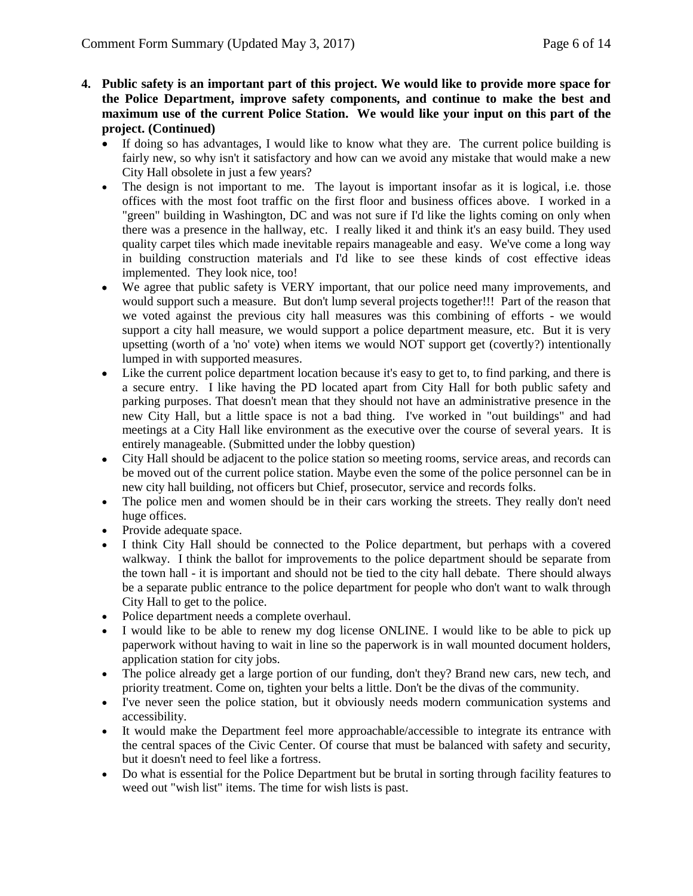- **4. Public safety is an important part of this project. We would like to provide more space for the Police Department, improve safety components, and continue to make the best and maximum use of the current Police Station. We would like your input on this part of the project. (Continued)**
	- If doing so has advantages, I would like to know what they are. The current police building is fairly new, so why isn't it satisfactory and how can we avoid any mistake that would make a new City Hall obsolete in just a few years?
	- The design is not important to me. The layout is important insofar as it is logical, i.e. those offices with the most foot traffic on the first floor and business offices above. I worked in a "green" building in Washington, DC and was not sure if I'd like the lights coming on only when there was a presence in the hallway, etc. I really liked it and think it's an easy build. They used quality carpet tiles which made inevitable repairs manageable and easy. We've come a long way in building construction materials and I'd like to see these kinds of cost effective ideas implemented. They look nice, too!
	- We agree that public safety is VERY important, that our police need many improvements, and would support such a measure. But don't lump several projects together!!! Part of the reason that we voted against the previous city hall measures was this combining of efforts - we would support a city hall measure, we would support a police department measure, etc. But it is very upsetting (worth of a 'no' vote) when items we would NOT support get (covertly?) intentionally lumped in with supported measures.
	- Like the current police department location because it's easy to get to, to find parking, and there is a secure entry. I like having the PD located apart from City Hall for both public safety and parking purposes. That doesn't mean that they should not have an administrative presence in the new City Hall, but a little space is not a bad thing. I've worked in "out buildings" and had meetings at a City Hall like environment as the executive over the course of several years. It is entirely manageable. (Submitted under the lobby question)
	- City Hall should be adjacent to the police station so meeting rooms, service areas, and records can be moved out of the current police station. Maybe even the some of the police personnel can be in new city hall building, not officers but Chief, prosecutor, service and records folks.
	- The police men and women should be in their cars working the streets. They really don't need huge offices.
	- Provide adequate space.
	- I think City Hall should be connected to the Police department, but perhaps with a covered walkway. I think the ballot for improvements to the police department should be separate from the town hall - it is important and should not be tied to the city hall debate. There should always be a separate public entrance to the police department for people who don't want to walk through City Hall to get to the police.
	- Police department needs a complete overhaul.
	- I would like to be able to renew my dog license ONLINE. I would like to be able to pick up paperwork without having to wait in line so the paperwork is in wall mounted document holders, application station for city jobs.
	- The police already get a large portion of our funding, don't they? Brand new cars, new tech, and priority treatment. Come on, tighten your belts a little. Don't be the divas of the community.
	- I've never seen the police station, but it obviously needs modern communication systems and accessibility.
	- It would make the Department feel more approachable/accessible to integrate its entrance with the central spaces of the Civic Center. Of course that must be balanced with safety and security, but it doesn't need to feel like a fortress.
	- Do what is essential for the Police Department but be brutal in sorting through facility features to weed out "wish list" items. The time for wish lists is past.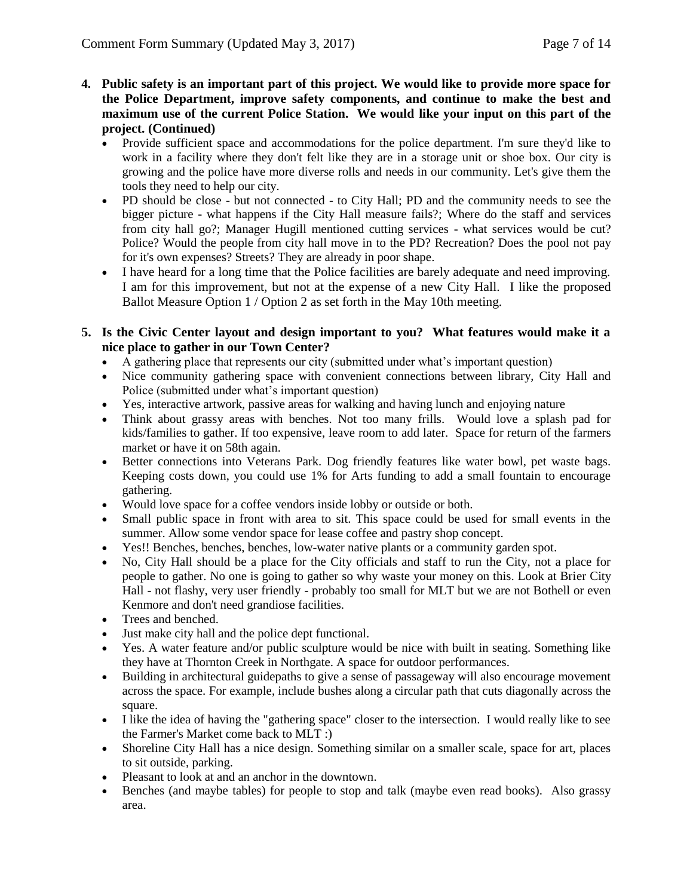- **4. Public safety is an important part of this project. We would like to provide more space for the Police Department, improve safety components, and continue to make the best and maximum use of the current Police Station. We would like your input on this part of the project. (Continued)**
	- Provide sufficient space and accommodations for the police department. I'm sure they'd like to work in a facility where they don't felt like they are in a storage unit or shoe box. Our city is growing and the police have more diverse rolls and needs in our community. Let's give them the tools they need to help our city.
	- PD should be close but not connected to City Hall; PD and the community needs to see the bigger picture - what happens if the City Hall measure fails?; Where do the staff and services from city hall go?; Manager Hugill mentioned cutting services - what services would be cut? Police? Would the people from city hall move in to the PD? Recreation? Does the pool not pay for it's own expenses? Streets? They are already in poor shape.
	- I have heard for a long time that the Police facilities are barely adequate and need improving. I am for this improvement, but not at the expense of a new City Hall. I like the proposed Ballot Measure Option 1 / Option 2 as set forth in the May 10th meeting.
- **5. Is the Civic Center layout and design important to you? What features would make it a nice place to gather in our Town Center?**
	- A gathering place that represents our city (submitted under what's important question)
	- Nice community gathering space with convenient connections between library, City Hall and Police (submitted under what's important question)
	- Yes, interactive artwork, passive areas for walking and having lunch and enjoying nature
	- Think about grassy areas with benches. Not too many frills. Would love a splash pad for kids/families to gather. If too expensive, leave room to add later. Space for return of the farmers market or have it on 58th again.
	- Better connections into Veterans Park. Dog friendly features like water bowl, pet waste bags. Keeping costs down, you could use 1% for Arts funding to add a small fountain to encourage gathering.
	- Would love space for a coffee vendors inside lobby or outside or both.
	- Small public space in front with area to sit. This space could be used for small events in the summer. Allow some vendor space for lease coffee and pastry shop concept.
	- Yes!! Benches, benches, benches, low-water native plants or a community garden spot.
	- No, City Hall should be a place for the City officials and staff to run the City, not a place for people to gather. No one is going to gather so why waste your money on this. Look at Brier City Hall - not flashy, very user friendly - probably too small for MLT but we are not Bothell or even Kenmore and don't need grandiose facilities.
	- Trees and benched.
	- Just make city hall and the police dept functional.
	- Yes. A water feature and/or public sculpture would be nice with built in seating. Something like they have at Thornton Creek in Northgate. A space for outdoor performances.
	- Building in architectural guidepaths to give a sense of passageway will also encourage movement across the space. For example, include bushes along a circular path that cuts diagonally across the square.
	- I like the idea of having the "gathering space" closer to the intersection. I would really like to see the Farmer's Market come back to MLT :)
	- Shoreline City Hall has a nice design. Something similar on a smaller scale, space for art, places to sit outside, parking.
	- Pleasant to look at and an anchor in the downtown.
	- Benches (and maybe tables) for people to stop and talk (maybe even read books). Also grassy area.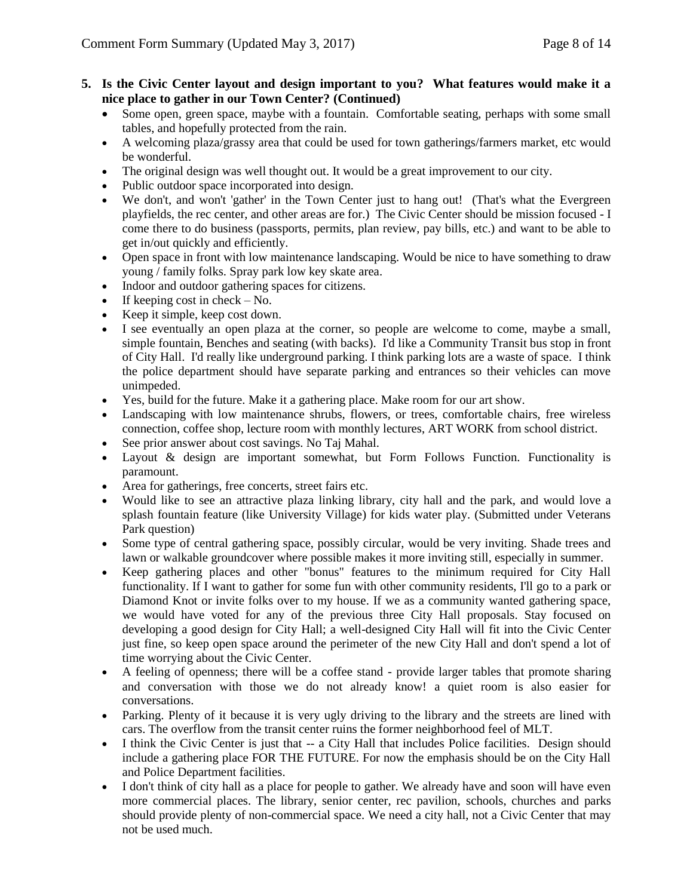#### **5. Is the Civic Center layout and design important to you? What features would make it a nice place to gather in our Town Center? (Continued)**

- Some open, green space, maybe with a fountain. Comfortable seating, perhaps with some small tables, and hopefully protected from the rain.
- A welcoming plaza/grassy area that could be used for town gatherings/farmers market, etc would be wonderful.
- The original design was well thought out. It would be a great improvement to our city.
- Public outdoor space incorporated into design.
- We don't, and won't 'gather' in the Town Center just to hang out! (That's what the Evergreen playfields, the rec center, and other areas are for.) The Civic Center should be mission focused - I come there to do business (passports, permits, plan review, pay bills, etc.) and want to be able to get in/out quickly and efficiently.
- Open space in front with low maintenance landscaping. Would be nice to have something to draw young / family folks. Spray park low key skate area.
- Indoor and outdoor gathering spaces for citizens.
- If keeping cost in check No.
- Keep it simple, keep cost down.
- I see eventually an open plaza at the corner, so people are welcome to come, maybe a small, simple fountain, Benches and seating (with backs). I'd like a Community Transit bus stop in front of City Hall. I'd really like underground parking. I think parking lots are a waste of space. I think the police department should have separate parking and entrances so their vehicles can move unimpeded.
- Yes, build for the future. Make it a gathering place. Make room for our art show.
- Landscaping with low maintenance shrubs, flowers, or trees, comfortable chairs, free wireless connection, coffee shop, lecture room with monthly lectures, ART WORK from school district.
- See prior answer about cost savings. No Taj Mahal.
- Layout & design are important somewhat, but Form Follows Function. Functionality is paramount.
- Area for gatherings, free concerts, street fairs etc.
- Would like to see an attractive plaza linking library, city hall and the park, and would love a splash fountain feature (like University Village) for kids water play. (Submitted under Veterans Park question)
- Some type of central gathering space, possibly circular, would be very inviting. Shade trees and lawn or walkable groundcover where possible makes it more inviting still, especially in summer.
- Keep gathering places and other "bonus" features to the minimum required for City Hall functionality. If I want to gather for some fun with other community residents, I'll go to a park or Diamond Knot or invite folks over to my house. If we as a community wanted gathering space, we would have voted for any of the previous three City Hall proposals. Stay focused on developing a good design for City Hall; a well-designed City Hall will fit into the Civic Center just fine, so keep open space around the perimeter of the new City Hall and don't spend a lot of time worrying about the Civic Center.
- A feeling of openness; there will be a coffee stand provide larger tables that promote sharing and conversation with those we do not already know! a quiet room is also easier for conversations.
- Parking. Plenty of it because it is very ugly driving to the library and the streets are lined with cars. The overflow from the transit center ruins the former neighborhood feel of MLT.
- I think the Civic Center is just that -- a City Hall that includes Police facilities. Design should include a gathering place FOR THE FUTURE. For now the emphasis should be on the City Hall and Police Department facilities.
- I don't think of city hall as a place for people to gather. We already have and soon will have even more commercial places. The library, senior center, rec pavilion, schools, churches and parks should provide plenty of non-commercial space. We need a city hall, not a Civic Center that may not be used much.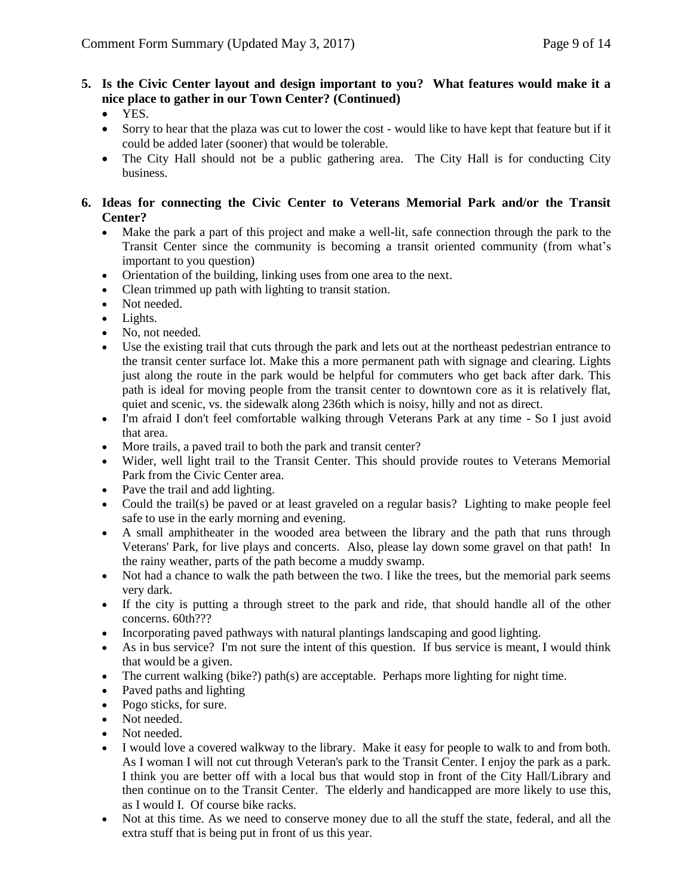- **5. Is the Civic Center layout and design important to you? What features would make it a nice place to gather in our Town Center? (Continued)**
	- YES.
	- Sorry to hear that the plaza was cut to lower the cost would like to have kept that feature but if it could be added later (sooner) that would be tolerable.
	- The City Hall should not be a public gathering area. The City Hall is for conducting City business.
- **6. Ideas for connecting the Civic Center to Veterans Memorial Park and/or the Transit Center?**
	- Make the park a part of this project and make a well-lit, safe connection through the park to the Transit Center since the community is becoming a transit oriented community (from what's important to you question)
	- Orientation of the building, linking uses from one area to the next.
	- Clean trimmed up path with lighting to transit station.
	- Not needed.
	- Lights.
	- No, not needed.
	- Use the existing trail that cuts through the park and lets out at the northeast pedestrian entrance to the transit center surface lot. Make this a more permanent path with signage and clearing. Lights just along the route in the park would be helpful for commuters who get back after dark. This path is ideal for moving people from the transit center to downtown core as it is relatively flat, quiet and scenic, vs. the sidewalk along 236th which is noisy, hilly and not as direct.
	- I'm afraid I don't feel comfortable walking through Veterans Park at any time So I just avoid that area.
	- More trails, a paved trail to both the park and transit center?
	- Wider, well light trail to the Transit Center. This should provide routes to Veterans Memorial Park from the Civic Center area.
	- Pave the trail and add lighting.
	- Could the trail(s) be paved or at least graveled on a regular basis? Lighting to make people feel safe to use in the early morning and evening.
	- A small amphitheater in the wooded area between the library and the path that runs through Veterans' Park, for live plays and concerts. Also, please lay down some gravel on that path! In the rainy weather, parts of the path become a muddy swamp.
	- Not had a chance to walk the path between the two. I like the trees, but the memorial park seems very dark.
	- If the city is putting a through street to the park and ride, that should handle all of the other concerns. 60th???
	- Incorporating paved pathways with natural plantings landscaping and good lighting.
	- As in bus service? I'm not sure the intent of this question. If bus service is meant, I would think that would be a given.
	- The current walking (bike?) path(s) are acceptable. Perhaps more lighting for night time.
	- Paved paths and lighting
	- Pogo sticks, for sure.
	- Not needed.
	- Not needed.
	- I would love a covered walkway to the library. Make it easy for people to walk to and from both. As I woman I will not cut through Veteran's park to the Transit Center. I enjoy the park as a park. I think you are better off with a local bus that would stop in front of the City Hall/Library and then continue on to the Transit Center. The elderly and handicapped are more likely to use this, as I would I. Of course bike racks.
	- Not at this time. As we need to conserve money due to all the stuff the state, federal, and all the extra stuff that is being put in front of us this year.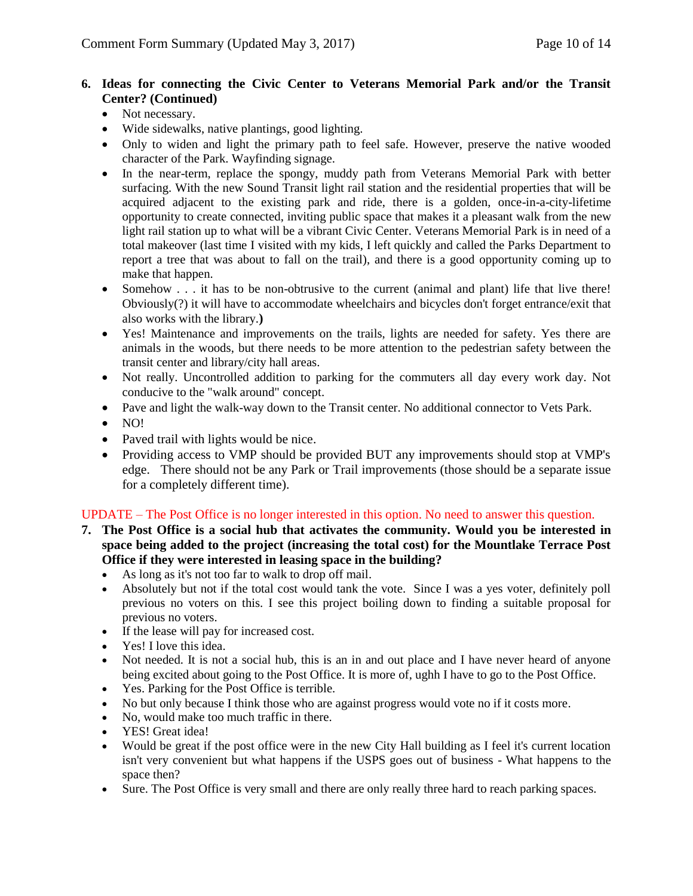## **6. Ideas for connecting the Civic Center to Veterans Memorial Park and/or the Transit Center? (Continued)**

- Not necessary.
- Wide sidewalks, native plantings, good lighting.
- Only to widen and light the primary path to feel safe. However, preserve the native wooded character of the Park. Wayfinding signage.
- In the near-term, replace the spongy, muddy path from Veterans Memorial Park with better surfacing. With the new Sound Transit light rail station and the residential properties that will be acquired adjacent to the existing park and ride, there is a golden, once-in-a-city-lifetime opportunity to create connected, inviting public space that makes it a pleasant walk from the new light rail station up to what will be a vibrant Civic Center. Veterans Memorial Park is in need of a total makeover (last time I visited with my kids, I left quickly and called the Parks Department to report a tree that was about to fall on the trail), and there is a good opportunity coming up to make that happen.
- Somehow . . . it has to be non-obtrusive to the current (animal and plant) life that live there! Obviously(?) it will have to accommodate wheelchairs and bicycles don't forget entrance/exit that also works with the library.**)**
- Yes! Maintenance and improvements on the trails, lights are needed for safety. Yes there are animals in the woods, but there needs to be more attention to the pedestrian safety between the transit center and library/city hall areas.
- Not really. Uncontrolled addition to parking for the commuters all day every work day. Not conducive to the "walk around" concept.
- Pave and light the walk-way down to the Transit center. No additional connector to Vets Park.
- NO!
- Paved trail with lights would be nice.
- Providing access to VMP should be provided BUT any improvements should stop at VMP's edge. There should not be any Park or Trail improvements (those should be a separate issue for a completely different time).

## UPDATE – The Post Office is no longer interested in this option. No need to answer this question.

- **7. The Post Office is a social hub that activates the community. Would you be interested in space being added to the project (increasing the total cost) for the Mountlake Terrace Post Office if they were interested in leasing space in the building?**
	- As long as it's not too far to walk to drop off mail.
	- Absolutely but not if the total cost would tank the vote. Since I was a yes voter, definitely poll previous no voters on this. I see this project boiling down to finding a suitable proposal for previous no voters.
	- If the lease will pay for increased cost.
	- Yes! I love this idea.
	- Not needed. It is not a social hub, this is an in and out place and I have never heard of anyone being excited about going to the Post Office. It is more of, ughh I have to go to the Post Office.
	- Yes. Parking for the Post Office is terrible.
	- No but only because I think those who are against progress would vote no if it costs more.
	- No, would make too much traffic in there.
	- YES! Great idea!
	- Would be great if the post office were in the new City Hall building as I feel it's current location isn't very convenient but what happens if the USPS goes out of business - What happens to the space then?
	- Sure. The Post Office is very small and there are only really three hard to reach parking spaces.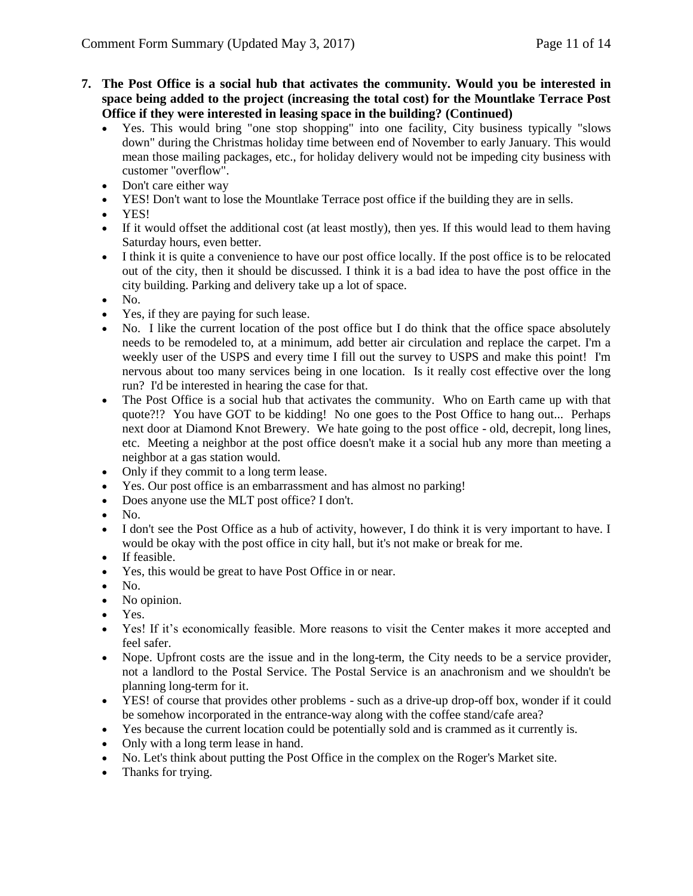- **7. The Post Office is a social hub that activates the community. Would you be interested in space being added to the project (increasing the total cost) for the Mountlake Terrace Post Office if they were interested in leasing space in the building? (Continued)**
	- Yes. This would bring "one stop shopping" into one facility, City business typically "slows down" during the Christmas holiday time between end of November to early January. This would mean those mailing packages, etc., for holiday delivery would not be impeding city business with customer "overflow".
	- Don't care either way
	- YES! Don't want to lose the Mountlake Terrace post office if the building they are in sells.
	- YES!
	- If it would offset the additional cost (at least mostly), then yes. If this would lead to them having Saturday hours, even better.
	- I think it is quite a convenience to have our post office locally. If the post office is to be relocated out of the city, then it should be discussed. I think it is a bad idea to have the post office in the city building. Parking and delivery take up a lot of space.
	- $\bullet$  No.
	- Yes, if they are paying for such lease.
	- No. I like the current location of the post office but I do think that the office space absolutely needs to be remodeled to, at a minimum, add better air circulation and replace the carpet. I'm a weekly user of the USPS and every time I fill out the survey to USPS and make this point! I'm nervous about too many services being in one location. Is it really cost effective over the long run? I'd be interested in hearing the case for that.
	- The Post Office is a social hub that activates the community. Who on Earth came up with that quote?!? You have GOT to be kidding! No one goes to the Post Office to hang out... Perhaps next door at Diamond Knot Brewery. We hate going to the post office - old, decrepit, long lines, etc. Meeting a neighbor at the post office doesn't make it a social hub any more than meeting a neighbor at a gas station would.
	- Only if they commit to a long term lease.
	- Yes. Our post office is an embarrassment and has almost no parking!
	- Does anyone use the MLT post office? I don't.
	- $\bullet$  No.
	- I don't see the Post Office as a hub of activity, however, I do think it is very important to have. I would be okay with the post office in city hall, but it's not make or break for me.
	- If feasible.
	- Yes, this would be great to have Post Office in or near.
	- $\bullet$  No.
	- No opinion.
	- Yes.
	- Yes! If it's economically feasible. More reasons to visit the Center makes it more accepted and feel safer.
	- Nope. Upfront costs are the issue and in the long-term, the City needs to be a service provider, not a landlord to the Postal Service. The Postal Service is an anachronism and we shouldn't be planning long-term for it.
	- YES! of course that provides other problems such as a drive-up drop-off box, wonder if it could be somehow incorporated in the entrance-way along with the coffee stand/cafe area?
	- Yes because the current location could be potentially sold and is crammed as it currently is.
	- Only with a long term lease in hand.
	- No. Let's think about putting the Post Office in the complex on the Roger's Market site.
	- Thanks for trying.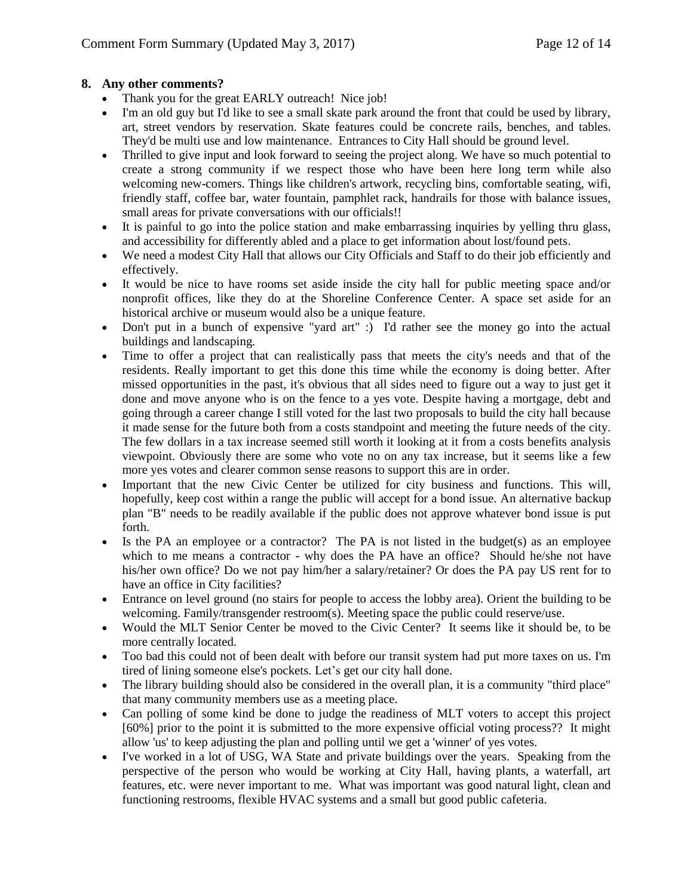## **8. Any other comments?**

- Thank you for the great EARLY outreach! Nice job!
- I'm an old guy but I'd like to see a small skate park around the front that could be used by library, art, street vendors by reservation. Skate features could be concrete rails, benches, and tables. They'd be multi use and low maintenance. Entrances to City Hall should be ground level.
- Thrilled to give input and look forward to seeing the project along. We have so much potential to create a strong community if we respect those who have been here long term while also welcoming new-comers. Things like children's artwork, recycling bins, comfortable seating, wifi, friendly staff, coffee bar, water fountain, pamphlet rack, handrails for those with balance issues, small areas for private conversations with our officials!!
- It is painful to go into the police station and make embarrassing inquiries by yelling thru glass, and accessibility for differently abled and a place to get information about lost/found pets.
- We need a modest City Hall that allows our City Officials and Staff to do their job efficiently and effectively.
- It would be nice to have rooms set aside inside the city hall for public meeting space and/or nonprofit offices, like they do at the Shoreline Conference Center. A space set aside for an historical archive or museum would also be a unique feature.
- Don't put in a bunch of expensive "yard art" :) I'd rather see the money go into the actual buildings and landscaping.
- Time to offer a project that can realistically pass that meets the city's needs and that of the residents. Really important to get this done this time while the economy is doing better. After missed opportunities in the past, it's obvious that all sides need to figure out a way to just get it done and move anyone who is on the fence to a yes vote. Despite having a mortgage, debt and going through a career change I still voted for the last two proposals to build the city hall because it made sense for the future both from a costs standpoint and meeting the future needs of the city. The few dollars in a tax increase seemed still worth it looking at it from a costs benefits analysis viewpoint. Obviously there are some who vote no on any tax increase, but it seems like a few more yes votes and clearer common sense reasons to support this are in order.
- Important that the new Civic Center be utilized for city business and functions. This will, hopefully, keep cost within a range the public will accept for a bond issue. An alternative backup plan "B" needs to be readily available if the public does not approve whatever bond issue is put forth.
- Is the PA an employee or a contractor? The PA is not listed in the budget(s) as an employee which to me means a contractor - why does the PA have an office? Should he/she not have his/her own office? Do we not pay him/her a salary/retainer? Or does the PA pay US rent for to have an office in City facilities?
- Entrance on level ground (no stairs for people to access the lobby area). Orient the building to be welcoming. Family/transgender restroom(s). Meeting space the public could reserve/use.
- Would the MLT Senior Center be moved to the Civic Center? It seems like it should be, to be more centrally located.
- Too bad this could not of been dealt with before our transit system had put more taxes on us. I'm tired of lining someone else's pockets. Let's get our city hall done.
- The library building should also be considered in the overall plan, it is a community "third place" that many community members use as a meeting place.
- Can polling of some kind be done to judge the readiness of MLT voters to accept this project [60%] prior to the point it is submitted to the more expensive official voting process?? It might allow 'us' to keep adjusting the plan and polling until we get a 'winner' of yes votes.
- I've worked in a lot of USG, WA State and private buildings over the years. Speaking from the perspective of the person who would be working at City Hall, having plants, a waterfall, art features, etc. were never important to me. What was important was good natural light, clean and functioning restrooms, flexible HVAC systems and a small but good public cafeteria.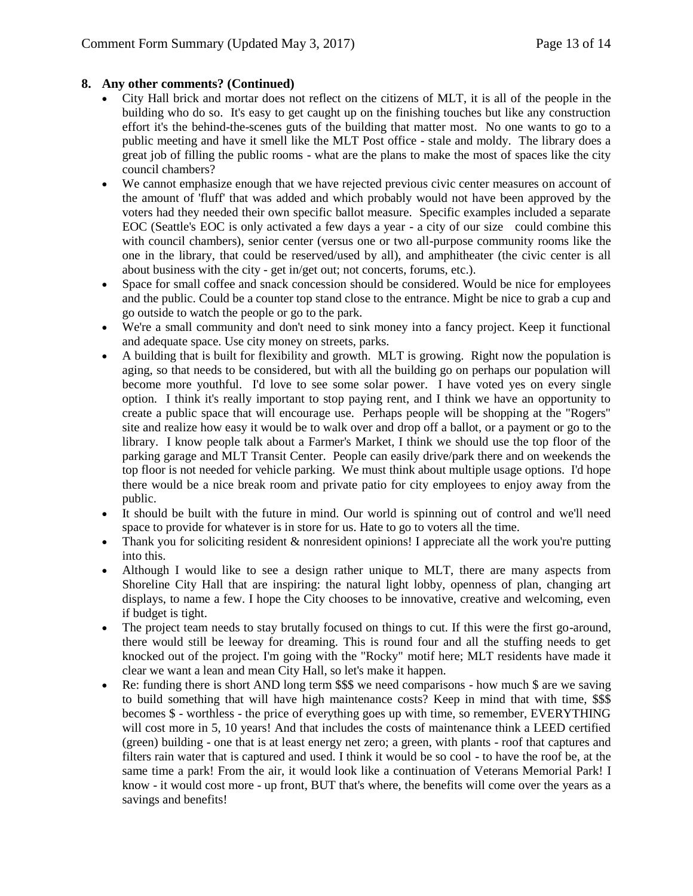## **8. Any other comments? (Continued)**

- City Hall brick and mortar does not reflect on the citizens of MLT, it is all of the people in the building who do so. It's easy to get caught up on the finishing touches but like any construction effort it's the behind-the-scenes guts of the building that matter most. No one wants to go to a public meeting and have it smell like the MLT Post office - stale and moldy. The library does a great job of filling the public rooms - what are the plans to make the most of spaces like the city council chambers?
- We cannot emphasize enough that we have rejected previous civic center measures on account of the amount of 'fluff' that was added and which probably would not have been approved by the voters had they needed their own specific ballot measure. Specific examples included a separate EOC (Seattle's EOC is only activated a few days a year - a city of our size could combine this with council chambers), senior center (versus one or two all-purpose community rooms like the one in the library, that could be reserved/used by all), and amphitheater (the civic center is all about business with the city - get in/get out; not concerts, forums, etc.).
- Space for small coffee and snack concession should be considered. Would be nice for employees and the public. Could be a counter top stand close to the entrance. Might be nice to grab a cup and go outside to watch the people or go to the park.
- We're a small community and don't need to sink money into a fancy project. Keep it functional and adequate space. Use city money on streets, parks.
- A building that is built for flexibility and growth. MLT is growing. Right now the population is aging, so that needs to be considered, but with all the building go on perhaps our population will become more youthful. I'd love to see some solar power. I have voted yes on every single option. I think it's really important to stop paying rent, and I think we have an opportunity to create a public space that will encourage use. Perhaps people will be shopping at the "Rogers" site and realize how easy it would be to walk over and drop off a ballot, or a payment or go to the library. I know people talk about a Farmer's Market, I think we should use the top floor of the parking garage and MLT Transit Center. People can easily drive/park there and on weekends the top floor is not needed for vehicle parking. We must think about multiple usage options. I'd hope there would be a nice break room and private patio for city employees to enjoy away from the public.
- It should be built with the future in mind. Our world is spinning out of control and we'll need space to provide for whatever is in store for us. Hate to go to voters all the time.
- Thank you for soliciting resident  $\&$  nonresident opinions! I appreciate all the work you're putting into this.
- Although I would like to see a design rather unique to MLT, there are many aspects from Shoreline City Hall that are inspiring: the natural light lobby, openness of plan, changing art displays, to name a few. I hope the City chooses to be innovative, creative and welcoming, even if budget is tight.
- The project team needs to stay brutally focused on things to cut. If this were the first go-around, there would still be leeway for dreaming. This is round four and all the stuffing needs to get knocked out of the project. I'm going with the "Rocky" motif here; MLT residents have made it clear we want a lean and mean City Hall, so let's make it happen.
- Re: funding there is short AND long term \$\$\$ we need comparisons how much \$ are we saving to build something that will have high maintenance costs? Keep in mind that with time, \$\$\$ becomes \$ - worthless - the price of everything goes up with time, so remember, EVERYTHING will cost more in 5, 10 years! And that includes the costs of maintenance think a LEED certified (green) building - one that is at least energy net zero; a green, with plants - roof that captures and filters rain water that is captured and used. I think it would be so cool - to have the roof be, at the same time a park! From the air, it would look like a continuation of Veterans Memorial Park! I know - it would cost more - up front, BUT that's where, the benefits will come over the years as a savings and benefits!